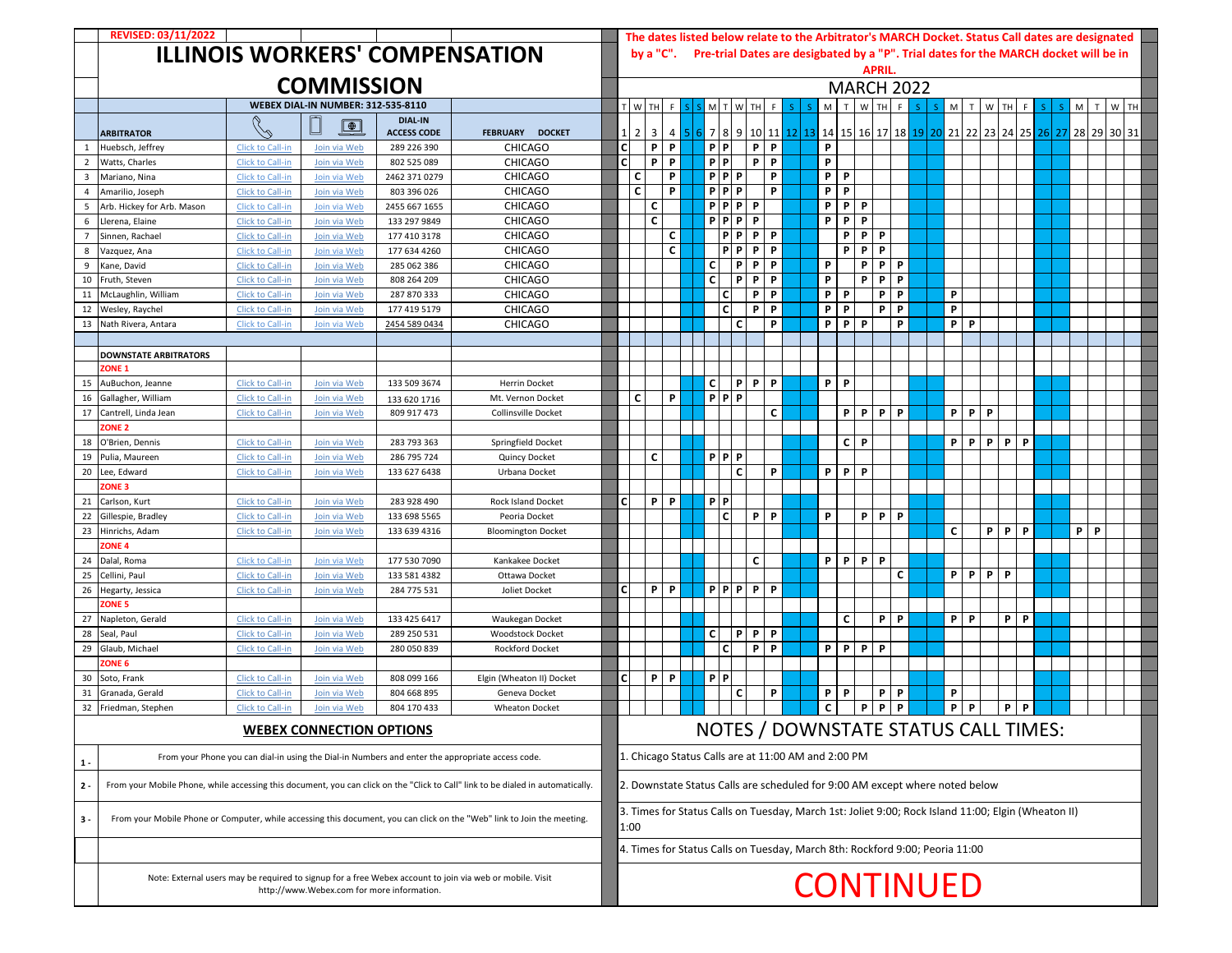|                | <b>REVISED: 03/11/2022</b>            |                                             |                                            |                                      |                                                                                                                                 |              |                |                |                |              |             |                   |              | The dates listed below relate to the Arbitrator's MARCH Docket. Status Call dates are designated    |              |                   |              |  |           |   |         |          |   |   |      |  |
|----------------|---------------------------------------|---------------------------------------------|--------------------------------------------|--------------------------------------|---------------------------------------------------------------------------------------------------------------------------------|--------------|----------------|----------------|----------------|--------------|-------------|-------------------|--------------|-----------------------------------------------------------------------------------------------------|--------------|-------------------|--------------|--|-----------|---|---------|----------|---|---|------|--|
|                |                                       |                                             |                                            |                                      | <b>ILLINOIS WORKERS' COMPENSATION</b>                                                                                           |              |                |                | by a "C".      |              |             |                   |              | Pre-trial Dates are desigbated by a "P". Trial dates for the MARCH docket will be in                |              |                   |              |  |           |   |         |          |   |   |      |  |
|                |                                       |                                             |                                            |                                      |                                                                                                                                 |              |                |                |                |              |             |                   |              |                                                                                                     |              | <b>APRIL</b>      |              |  |           |   |         |          |   |   |      |  |
|                |                                       |                                             | <b>COMMISSION</b>                          |                                      |                                                                                                                                 |              |                |                |                |              |             |                   |              |                                                                                                     |              | <b>MARCH 2022</b> |              |  |           |   |         |          |   |   |      |  |
|                |                                       |                                             | <b>WEBEX DIAL-IN NUMBER: 312-535-8110</b>  |                                      |                                                                                                                                 |              |                |                |                |              |             |                   |              |                                                                                                     |              |                   |              |  |           |   |         |          |   |   |      |  |
|                |                                       |                                             |                                            |                                      |                                                                                                                                 |              | W              | <b>TH</b>      |                |              |             |                   |              | M                                                                                                   | $\mathsf{T}$ | W TH              | $\mathsf{F}$ |  | M         |   | W<br>TН |          | M |   | W TH |  |
|                | <b>ARBITRATOR</b>                     | Š.                                          | $\boxed{\oplus}$                           | <b>DIAL-IN</b><br><b>ACCESS CODE</b> | <b>DOCKET</b><br><b>FEBRUARY</b>                                                                                                | $\mathbf{1}$ | $\overline{2}$ | 3 <sup>1</sup> | $\overline{4}$ | 5 6 7 8 9    |             |                   | 10 11        | 12 13 14 15 16 17 18 19 20 21 22 23 24 25 26 27 28 29 30 31                                         |              |                   |              |  |           |   |         |          |   |   |      |  |
|                | Huebsch, Jeffrey                      | <b>Click to Call-in</b>                     | Join via Web                               | 289 226 390                          | <b>CHICAGO</b>                                                                                                                  | C            |                | P              | P              |              | PP          |                   | $P$ $P$      | P                                                                                                   |              |                   |              |  |           |   |         |          |   |   |      |  |
| $\overline{2}$ | Watts, Charles                        | <b>Click to Call-in</b>                     | Join via Web                               | 802 525 089                          | <b>CHICAGO</b>                                                                                                                  | $\mathsf c$  |                | P              | P              |              | PP          | P                 | $\mathsf{P}$ | P                                                                                                   |              |                   |              |  |           |   |         |          |   |   |      |  |
| 3              | Mariano, Nina                         | Click to Call-in                            | Join via Web                               | 2462 371 0279                        | <b>CHICAGO</b>                                                                                                                  |              | C              |                | P              |              | <b>PPP</b>  |                   | P            | P                                                                                                   | <b>P</b>     |                   |              |  |           |   |         |          |   |   |      |  |
| 4              | Amarilio, Joseph                      | Click to Call-in                            | Join via Web                               | 803 396 026                          | <b>CHICAGO</b>                                                                                                                  |              | C              |                | P              |              | PPP         |                   | P            | P                                                                                                   | P            |                   |              |  |           |   |         |          |   |   |      |  |
| 5              | Arb. Hickey for Arb. Mason            | <b>Click to Call-in</b>                     | Join via Web                               | 2455 667 1655                        | <b>CHICAGO</b>                                                                                                                  |              |                | $\mathbf c$    |                |              |             | $P$ $P$ $P$ $P$   |              | P.                                                                                                  | P            | P                 |              |  |           |   |         |          |   |   |      |  |
| 6              | Llerena, Elaine                       | Click to Call-ir                            | Join via Web                               | 133 297 9849                         | <b>CHICAGO</b>                                                                                                                  |              |                | $\mathsf{c}$   |                |              | PPP         | P                 |              | P                                                                                                   | P            | P                 |              |  |           |   |         |          |   |   |      |  |
| $\overline{7}$ | Sinnen, Rachael                       | Click to Call-in                            | Join via Web                               | 177 410 3178                         | <b>CHICAGO</b>                                                                                                                  |              |                |                | C              |              | P           | P                 | $P$ $P$      |                                                                                                     | P            | P<br>P            |              |  |           |   |         |          |   |   |      |  |
| 8              | Vazquez, Ana                          | <b>Click to Call-in</b>                     | Join via Web                               | 177 634 4260                         | <b>CHICAGO</b>                                                                                                                  |              |                |                | C              |              | P           | P<br>P            | P            |                                                                                                     | P            | P<br>P            |              |  |           |   |         |          |   |   |      |  |
| 9              | Kane, David                           | Click to Call-in                            | Join via Web                               | 285 062 386                          | <b>CHICAGO</b>                                                                                                                  |              |                |                |                | C            |             | $\mathsf{P}$<br>P | P            | P                                                                                                   |              | P<br>P            | P            |  |           |   |         |          |   |   |      |  |
|                | 10 Fruth, Steven                      | <b>Click to Call-ir</b>                     | Join via Web                               | 808 264 209                          | <b>CHICAGO</b>                                                                                                                  |              |                |                |                | C            |             | P<br>P            | $\mathsf{P}$ | P                                                                                                   |              | P<br>P            | P            |  |           |   |         |          |   |   |      |  |
| 11             | McLaughlin, William                   | Click to Call-in                            | Join via Web                               | 287 870 333                          | <b>CHICAGO</b>                                                                                                                  |              |                |                |                |              | C           | P                 | P            | P                                                                                                   | P            | P                 | P            |  | P         |   |         |          |   |   |      |  |
| 12             | Wesley, Raychel                       | Click to Call-ir                            | Join via Web                               | 177 419 5179                         | <b>CHICAGO</b>                                                                                                                  |              |                |                |                |              | C           | P                 | P            | P                                                                                                   | P            | P                 | P            |  | P         |   |         |          |   |   |      |  |
|                | 13 Nath Rivera, Antara                | <b>Click to Call-in</b>                     | Join via Web                               | 2454 589 0434                        | <b>CHICAGO</b>                                                                                                                  |              |                |                |                |              |             | C                 | P            | P.                                                                                                  | P            | P                 | P            |  | $P$ $P$   |   |         |          |   |   |      |  |
|                |                                       |                                             |                                            |                                      |                                                                                                                                 |              |                |                |                |              |             |                   |              |                                                                                                     |              |                   |              |  |           |   |         |          |   |   |      |  |
|                | <b>DOWNSTATE ARBITRATORS</b>          |                                             |                                            |                                      |                                                                                                                                 |              |                |                |                |              |             |                   |              |                                                                                                     |              |                   |              |  |           |   |         |          |   |   |      |  |
|                | ZONE <sub>1</sub>                     |                                             |                                            |                                      |                                                                                                                                 |              |                |                |                |              |             |                   |              |                                                                                                     |              |                   |              |  |           |   |         |          |   |   |      |  |
| 15             | AuBuchon, Jeanne                      | Click to Call-ir                            | Join via Web                               | 133 509 3674                         | <b>Herrin Docket</b>                                                                                                            |              |                |                |                | C            |             | $P$ $P$ $P$       |              | P                                                                                                   | <b>P</b>     |                   |              |  |           |   |         |          |   |   |      |  |
| 16             | Gallagher, William                    | Click to Call-ir                            | Join via Web                               |                                      | Mt. Vernon Docket                                                                                                               |              | C              |                | P              |              | $P$ $P$ $P$ |                   |              |                                                                                                     |              |                   |              |  |           |   |         |          |   |   |      |  |
| 17             | Cantrell, Linda Jean                  | Click to Call-in                            | Join via Web                               | 133 620 1716<br>809 917 473          | Collinsville Docket                                                                                                             |              |                |                |                |              |             |                   | C            |                                                                                                     | P            | P                 | $P$ $P$      |  | PP        | P |         |          |   |   |      |  |
|                | <b>ZONE 2</b>                         |                                             |                                            |                                      |                                                                                                                                 |              |                |                |                |              |             |                   |              |                                                                                                     |              |                   |              |  |           |   |         |          |   |   |      |  |
|                | 18 O'Brien, Dennis                    | Click to Call-in                            | Join via Web                               | 283 793 363                          | Springfield Docket                                                                                                              |              |                |                |                |              |             |                   |              |                                                                                                     | $\mathbf{C}$ | P                 |              |  | $P$   $P$ |   | P.<br>P | P        |   |   |      |  |
| 19             | Pulia, Maureen                        | <b>Click to Call-in</b>                     | Join via Web                               | 286 795 724                          | Quincy Docket                                                                                                                   |              |                | C              |                |              | PPP         |                   |              |                                                                                                     |              |                   |              |  |           |   |         |          |   |   |      |  |
| 20             | Lee, Edward                           | <b>Click to Call-ir</b>                     | Join via Web                               | 133 627 6438                         | Urbana Docket                                                                                                                   |              |                |                |                |              |             | C                 | P            | P.                                                                                                  | P            | P                 |              |  |           |   |         |          |   |   |      |  |
|                | ZONE <sub>3</sub>                     |                                             |                                            |                                      |                                                                                                                                 |              |                |                |                |              |             |                   |              |                                                                                                     |              |                   |              |  |           |   |         |          |   |   |      |  |
| 21             | Carlson, Kurt                         | <b>Click to Call-ir</b>                     | Join via Web                               | 283 928 490                          | Rock Island Docket                                                                                                              | C            |                | P              | <b>P</b>       |              | PP          |                   |              |                                                                                                     |              |                   |              |  |           |   |         |          |   |   |      |  |
| 22             | Gillespie, Bradley                    | <b>Click to Call-ir</b>                     | Join via Web                               | 133 698 5565                         | Peoria Docket                                                                                                                   |              |                |                |                |              | C           |                   | PP           | P                                                                                                   |              | P<br>$\mathsf{P}$ | $\mathsf{P}$ |  |           |   |         |          |   |   |      |  |
|                | 23 Hinrichs, Adam                     | <b>Click to Call-in</b>                     | Join via Web                               | 133 639 4316                         | <b>Bloomington Docket</b>                                                                                                       |              |                |                |                |              |             |                   |              |                                                                                                     |              |                   |              |  | C         |   | P<br>P  | P        | P | P |      |  |
|                | <b>ZONE 4</b>                         |                                             |                                            |                                      |                                                                                                                                 |              |                |                |                |              |             |                   |              |                                                                                                     |              |                   |              |  |           |   |         |          |   |   |      |  |
| 24             | Dalal, Roma                           |                                             | Join via Web                               | 177 530 7090                         | Kankakee Docket                                                                                                                 |              |                |                |                |              |             | C                 |              | P.                                                                                                  | P            | P<br>$\mathsf{P}$ |              |  |           |   |         |          |   |   |      |  |
| 25             | Cellini, Paul                         | <b>Click to Call-ir</b><br>Click to Call-ir | Join via Web                               | 133 581 4382                         | Ottawa Docket                                                                                                                   |              |                |                |                |              |             |                   |              |                                                                                                     |              |                   | $\mathsf{C}$ |  | PP        |   | P<br>P  |          |   |   |      |  |
| 26             |                                       | Click to Call-in                            | Join via Web                               | 284 775 531                          | Joliet Docket                                                                                                                   | C            |                | $P$ $P$        |                |              |             | <b>PPPPP</b>      |              |                                                                                                     |              |                   |              |  |           |   |         |          |   |   |      |  |
|                | Hegarty, Jessica<br>ZONE <sub>5</sub> |                                             |                                            |                                      |                                                                                                                                 |              |                |                |                |              |             |                   |              |                                                                                                     |              |                   |              |  |           |   |         |          |   |   |      |  |
| 27             | Napleton, Gerald                      | Click to Call-in                            | Join via Web                               | 133 425 6417                         |                                                                                                                                 |              |                |                |                |              |             |                   |              |                                                                                                     | C            | P                 | $\mathsf{P}$ |  | PP        |   | P       | <b>P</b> |   |   |      |  |
|                |                                       |                                             |                                            |                                      | Waukegan Docket                                                                                                                 |              |                |                |                | $\mathbf{C}$ |             | $\mathsf{P}$      | PP           |                                                                                                     |              |                   |              |  |           |   |         |          |   |   |      |  |
| 28             | Seal, Paul<br>29 Glaub, Michael       | Click to Call-in<br>Click to Call-in        | Join via Web<br>Join via Web               | 289 250 531<br>280 050 839           | <b>Woodstock Docket</b><br><b>Rockford Docket</b>                                                                               |              |                |                |                |              | c           |                   | $P$ $P$      |                                                                                                     | $P$ $P$      | P<br>P.           |              |  |           |   |         |          |   |   |      |  |
|                | ZONE <sub>6</sub>                     |                                             |                                            |                                      |                                                                                                                                 |              |                |                |                |              |             |                   |              |                                                                                                     |              |                   |              |  |           |   |         |          |   |   |      |  |
| 30             | Soto, Frank                           | Click to Call-in                            | Join via Web                               | 808 099 166                          | Elgin (Wheaton II) Docket                                                                                                       | C            |                | PP             |                |              | PP          |                   |              |                                                                                                     |              |                   |              |  |           |   |         |          |   |   |      |  |
| 31             | Granada, Gerald                       | Click to Call-in                            | Join via Web                               | 804 668 895                          | Geneva Docket                                                                                                                   |              |                |                |                |              |             | C                 | P            | P                                                                                                   | P            | P                 | P            |  | P         |   |         |          |   |   |      |  |
|                | 32 Friedman, Stephen                  | Click to Call-in                            | Join via Web                               | 804 170 433                          | <b>Wheaton Docket</b>                                                                                                           |              |                |                |                |              |             |                   |              | C                                                                                                   |              | P<br>P            | P            |  | $P$ $P$   |   | Ρ       | P        |   |   |      |  |
|                |                                       |                                             |                                            |                                      |                                                                                                                                 |              |                |                |                |              |             |                   |              |                                                                                                     |              |                   |              |  |           |   |         |          |   |   |      |  |
|                |                                       |                                             | <b>WEBEX CONNECTION OPTIONS</b>            |                                      |                                                                                                                                 |              |                |                |                |              |             |                   |              | NOTES / DOWNSTATE STATUS CALL TIMES:                                                                |              |                   |              |  |           |   |         |          |   |   |      |  |
|                |                                       |                                             |                                            |                                      |                                                                                                                                 |              |                |                |                |              |             |                   |              |                                                                                                     |              |                   |              |  |           |   |         |          |   |   |      |  |
| $1 -$          |                                       |                                             |                                            |                                      | From your Phone you can dial-in using the Dial-in Numbers and enter the appropriate access code.                                |              |                |                |                |              |             |                   |              | 1. Chicago Status Calls are at 11:00 AM and 2:00 PM                                                 |              |                   |              |  |           |   |         |          |   |   |      |  |
| $2 -$          |                                       |                                             |                                            |                                      | From your Mobile Phone, while accessing this document, you can click on the "Click to Call" link to be dialed in automatically. |              |                |                |                |              |             |                   |              | 2. Downstate Status Calls are scheduled for 9:00 AM except where noted below                        |              |                   |              |  |           |   |         |          |   |   |      |  |
| $3 -$          |                                       |                                             |                                            |                                      | From your Mobile Phone or Computer, while accessing this document, you can click on the "Web" link to Join the meeting.         |              | 1:00           |                |                |              |             |                   |              | 3. Times for Status Calls on Tuesday, March 1st: Joliet 9:00; Rock Island 11:00; Elgin (Wheaton II) |              |                   |              |  |           |   |         |          |   |   |      |  |
|                |                                       |                                             |                                            |                                      |                                                                                                                                 |              |                |                |                |              |             |                   |              | 4. Times for Status Calls on Tuesday, March 8th: Rockford 9:00; Peoria 11:00                        |              |                   |              |  |           |   |         |          |   |   |      |  |
|                |                                       |                                             | http://www.Webex.com for more information. |                                      | Note: External users may be required to signup for a free Webex account to join via web or mobile. Visit                        |              |                |                |                |              |             |                   |              | <b>CONTINUED</b>                                                                                    |              |                   |              |  |           |   |         |          |   |   |      |  |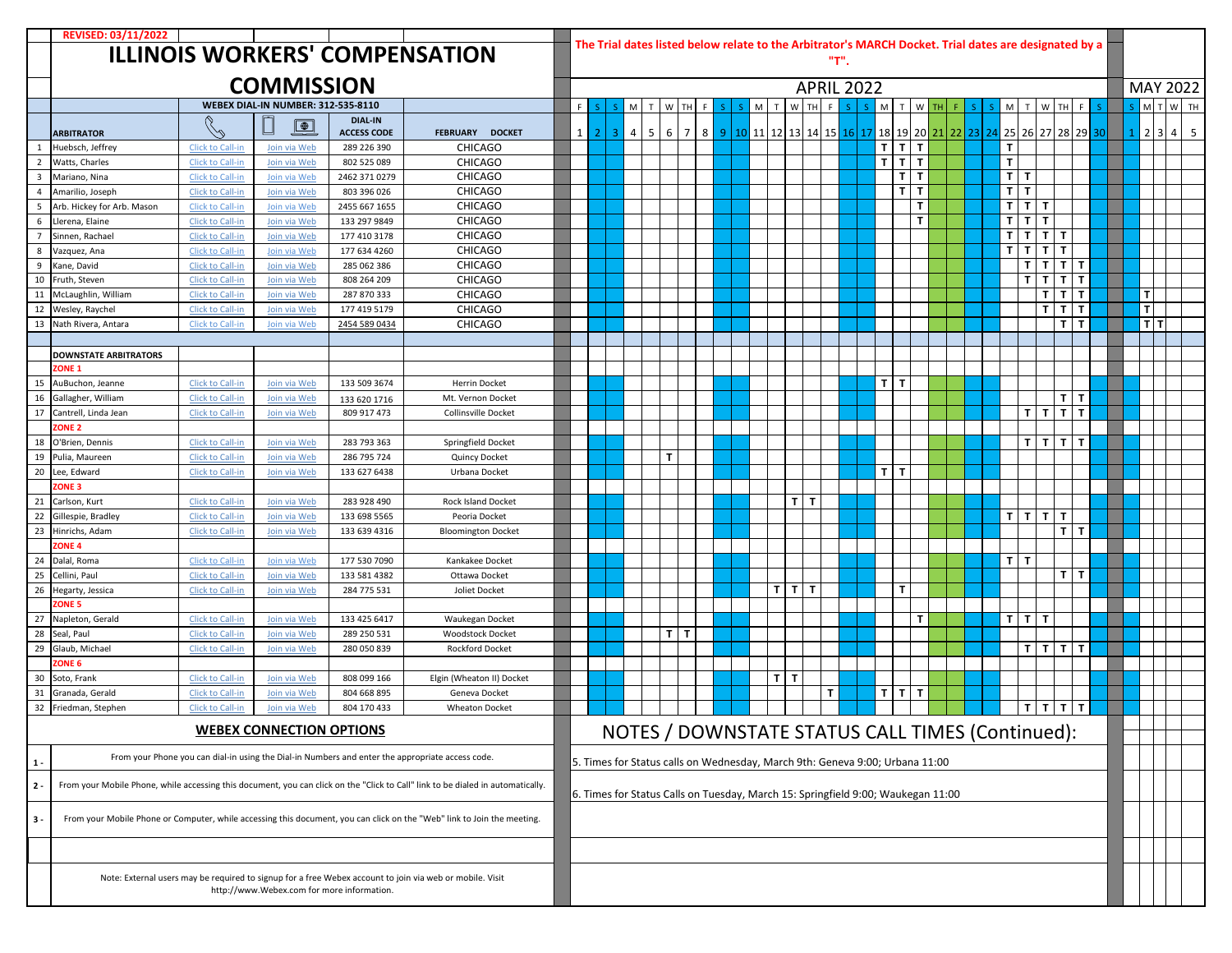|                | <b>REVISED: 03/11/2022</b>                |                         |                                            |                    | <b>ILLINOIS WORKERS' COMPENSATION</b>                                                                                           |                 | The Trial dates listed below relate to the Arbitrator's MARCH Docket. Trial dates are designated by a |                                                  |   |              |                                 |         |       |              | "T". |                                           |              |              |  |              |              |                 |                    |      |                 |                |          |
|----------------|-------------------------------------------|-------------------------|--------------------------------------------|--------------------|---------------------------------------------------------------------------------------------------------------------------------|-----------------|-------------------------------------------------------------------------------------------------------|--------------------------------------------------|---|--------------|---------------------------------|---------|-------|--------------|------|-------------------------------------------|--------------|--------------|--|--------------|--------------|-----------------|--------------------|------|-----------------|----------------|----------|
|                |                                           |                         | <b>COMMISSION</b>                          |                    |                                                                                                                                 |                 |                                                                                                       |                                                  |   |              |                                 |         |       |              |      | <b>APRIL 2022</b>                         |              |              |  |              |              |                 |                    |      | <b>MAY 2022</b> |                |          |
|                |                                           |                         | <b>WEBEX DIAL-IN NUMBER: 312-535-8110</b>  |                    |                                                                                                                                 | F.              |                                                                                                       |                                                  |   |              | M.                              | T       | W     | TH F         |      | M                                         | T W          |              |  | N            |              | W.<br>TH.       |                    |      |                 |                | M T W TH |
|                |                                           |                         |                                            | <b>DIAL-IN</b>     |                                                                                                                                 |                 |                                                                                                       |                                                  |   |              |                                 |         |       |              |      |                                           |              |              |  |              |              |                 |                    |      |                 |                |          |
|                | <b>ARBITRATOR</b>                         |                         | $\boxed{\oplus}$                           | <b>ACCESS CODE</b> | FEBRUARY DOCKET                                                                                                                 | $1\phantom{.0}$ | $\mathcal{D}$<br>-3                                                                                   | 5<br>4                                           | 6 | 8<br>7 I     | 9   10   11   12   13   14   15 |         |       |              |      | 16 17 18 19 20 21 22 23 24 25 26 27 28 29 |              |              |  |              |              |                 |                    | 30 I | $2 \mid 3$      | $\overline{a}$ | - 5      |
|                | Huebsch, Jeffrey                          | Click to Call-in        | Join via Web                               | 289 226 390        | <b>CHICAGO</b>                                                                                                                  |                 |                                                                                                       |                                                  |   |              |                                 |         |       |              |      | $\mathbf{T}$                              | $T$ $T$      |              |  | $\mathbf{T}$ |              |                 |                    |      |                 |                |          |
|                | Watts, Charles                            | <b>Click to Call-in</b> | Join via Web                               | 802 525 089        | <b>CHICAGO</b>                                                                                                                  |                 |                                                                                                       |                                                  |   |              |                                 |         |       |              |      | $\mathbf{T}$                              |              | T            |  | $\mathbf{T}$ |              |                 |                    |      |                 |                |          |
| $\mathbf{3}$   | Mariano, Nina                             | <b>Click to Call-in</b> | Join via Web                               | 2462 371 0279      | <b>CHICAGO</b>                                                                                                                  |                 |                                                                                                       |                                                  |   |              |                                 |         |       |              |      |                                           |              | $\mathbf{T}$ |  | T.           | $\mathbf{T}$ |                 |                    |      |                 |                |          |
| $\overline{a}$ | Amarilio, Joseph                          | Click to Call-in        | Join via Web                               | 803 396 026        | <b>CHICAGO</b>                                                                                                                  |                 |                                                                                                       |                                                  |   |              |                                 |         |       |              |      |                                           | TIT          |              |  | T            | T            |                 |                    |      |                 |                |          |
| -5             | Arb. Hickey for Arb. Mason                | <b>Click to Call-in</b> | Join via Web                               | 2455 667 1655      | <b>CHICAGO</b>                                                                                                                  |                 |                                                                                                       |                                                  |   |              |                                 |         |       |              |      |                                           |              | T            |  |              | $T$ $T$ $T$  |                 |                    |      |                 |                |          |
| 6              | Llerena, Elaine                           | Click to Call-in        | Join via Web                               | 133 297 9849       | <b>CHICAGO</b>                                                                                                                  |                 |                                                                                                       |                                                  |   |              |                                 |         |       |              |      |                                           |              | $\mathbf{T}$ |  | T.           | T            | T               |                    |      |                 |                |          |
| $\overline{7}$ | Sinnen, Rachael                           | <b>Click to Call-in</b> | Join via Web                               | 177 410 3178       | <b>CHICAGO</b>                                                                                                                  |                 |                                                                                                       |                                                  |   |              |                                 |         |       |              |      |                                           |              |              |  | T            |              | TITIT           |                    |      |                 |                |          |
| 8              | Vazquez, Ana                              | Click to Call-in        | Join via Web                               | 177 634 4260       | <b>CHICAGO</b>                                                                                                                  |                 |                                                                                                       |                                                  |   |              |                                 |         |       |              |      |                                           |              |              |  | $\mathbf{T}$ | T            | T<br>T          |                    |      |                 |                |          |
| 9              | Kane, David                               | Click to Call-in        | Join via Web                               | 285 062 386        | <b>CHICAGO</b>                                                                                                                  |                 |                                                                                                       |                                                  |   |              |                                 |         |       |              |      |                                           |              |              |  |              | T            | T<br>T          | $\mathbf{T}$       |      |                 |                |          |
| 10             | Fruth, Steven                             | <b>Click to Call-in</b> | Join via Web                               | 808 264 209        | <b>CHICAGO</b>                                                                                                                  |                 |                                                                                                       |                                                  |   |              |                                 |         |       |              |      |                                           |              |              |  |              | T I          | T<br>T          | T                  |      |                 |                |          |
| 11             | McLaughlin, William                       | Click to Call-in        | Join via Web                               | 287 870 333        | <b>CHICAGO</b>                                                                                                                  |                 |                                                                                                       |                                                  |   |              |                                 |         |       |              |      |                                           |              |              |  |              |              | T<br>T          | $\mathbf{T}$       |      | τI              |                |          |
| 12             | Wesley, Raychel                           | Click to Call-in        | Join via Web                               | 177 419 5179       | <b>CHICAGO</b>                                                                                                                  |                 |                                                                                                       |                                                  |   |              |                                 |         |       |              |      |                                           |              |              |  |              |              | T.<br>T.        | T                  |      | τI              |                |          |
| 13             | Nath Rivera, Antara                       | Click to Call-in        | Join via Web                               | 2454 589 0434      | <b>CHICAGO</b>                                                                                                                  |                 |                                                                                                       |                                                  |   |              |                                 |         |       |              |      |                                           |              |              |  |              |              |                 | τI<br>$\mathbf{T}$ |      | <b>TIT</b>      |                |          |
|                |                                           |                         |                                            |                    |                                                                                                                                 |                 |                                                                                                       |                                                  |   |              |                                 |         |       |              |      |                                           |              |              |  |              |              |                 |                    |      |                 |                |          |
|                | <b>DOWNSTATE ARBITRATORS</b>              |                         |                                            |                    |                                                                                                                                 |                 |                                                                                                       |                                                  |   |              |                                 |         |       |              |      |                                           |              |              |  |              |              |                 |                    |      |                 |                |          |
|                | ZONE <sub>1</sub>                         |                         |                                            |                    |                                                                                                                                 |                 |                                                                                                       |                                                  |   |              |                                 |         |       |              |      |                                           |              |              |  |              |              |                 |                    |      |                 |                |          |
| 15             | AuBuchon, Jeanne                          | Click to Call-in        | Join via Web                               | 133 509 3674       | Herrin Docket                                                                                                                   |                 |                                                                                                       |                                                  |   |              |                                 |         |       |              |      |                                           | $T$ $T$      |              |  |              |              |                 |                    |      |                 |                |          |
| 16             | Gallagher, William                        | <b>Click to Call-in</b> | Join via Web                               | 133 620 1716       | Mt. Vernon Docket                                                                                                               |                 |                                                                                                       |                                                  |   |              |                                 |         |       |              |      |                                           |              |              |  |              |              |                 | $T$ $T$            |      |                 |                |          |
| 17             | Cantrell, Linda Jean<br>ZONE <sub>2</sub> | Click to Call-in        | Join via Web                               | 809 917 473        | <b>Collinsville Docket</b>                                                                                                      |                 |                                                                                                       |                                                  |   |              |                                 |         |       |              |      |                                           |              |              |  |              | T            | $T$ $T$         | $\mathbf{T}$       |      |                 |                |          |
| 18             | O'Brien. Dennis                           | <b>Click to Call-in</b> | Join via Web                               | 283 793 363        | Springfield Docket                                                                                                              |                 |                                                                                                       |                                                  |   |              |                                 |         |       |              |      |                                           |              |              |  |              |              | T[T T]          | $\mathbf{T}$       |      |                 |                |          |
| 19             | Pulia, Maureen                            | <b>Click to Call-in</b> |                                            | 286 795 724        | Quincy Docket                                                                                                                   |                 |                                                                                                       |                                                  | Т |              |                                 |         |       |              |      |                                           |              |              |  |              |              |                 |                    |      |                 |                |          |
| 20             | Lee, Edward                               | Click to Call-in        | Join via Web<br>Join via Web               | 133 627 6438       | Urbana Docket                                                                                                                   |                 |                                                                                                       |                                                  |   |              |                                 |         |       |              |      |                                           | $T$   T      |              |  |              |              |                 |                    |      |                 |                |          |
|                | <b>ZONE 3</b>                             |                         |                                            |                    |                                                                                                                                 |                 |                                                                                                       |                                                  |   |              |                                 |         |       |              |      |                                           |              |              |  |              |              |                 |                    |      |                 |                |          |
| 21             | Carlson, Kurt                             | Click to Call-in        | Join via Web                               | 283 928 490        | <b>Rock Island Docket</b>                                                                                                       |                 |                                                                                                       |                                                  |   |              |                                 |         | T.    | $\mathbf{T}$ |      |                                           |              |              |  |              |              |                 |                    |      |                 |                |          |
| 22             | Gillespie, Bradley                        | <b>Click to Call-in</b> | Join via Web                               | 133 698 5565       | Peoria Docket                                                                                                                   |                 |                                                                                                       |                                                  |   |              |                                 |         |       |              |      |                                           |              |              |  |              |              | $T$ $T$ $T$ $T$ |                    |      |                 |                |          |
| 23             | Hinrichs, Adam                            | Click to Call-in        | Join via Web                               | 133 639 4316       | <b>Bloomington Docket</b>                                                                                                       |                 |                                                                                                       |                                                  |   |              |                                 |         |       |              |      |                                           |              |              |  |              |              | T.              | T                  |      |                 |                |          |
|                | ZONE <sub>4</sub>                         |                         |                                            |                    |                                                                                                                                 |                 |                                                                                                       |                                                  |   |              |                                 |         |       |              |      |                                           |              |              |  |              |              |                 |                    |      |                 |                |          |
| 24             | Dalal, Roma                               | Click to Call-in        | Join via Web                               | 177 530 7090       | Kankakee Docket                                                                                                                 |                 |                                                                                                       |                                                  |   |              |                                 |         |       |              |      |                                           |              |              |  |              | T T          |                 |                    |      |                 |                |          |
| 25             | Cellini, Paul                             | Click to Call-in        | Join via Web                               | 133 581 4382       | Ottawa Docket                                                                                                                   |                 |                                                                                                       |                                                  |   |              |                                 |         |       |              |      |                                           |              |              |  |              |              |                 | T T                |      |                 |                |          |
| 26             | Hegarty, Jessica                          | Click to Call-in        | Join via Web                               | 284 775 531        | Joliet Docket                                                                                                                   |                 |                                                                                                       |                                                  |   |              |                                 |         | T I T | п            |      |                                           | $\mathbf{T}$ |              |  |              |              |                 |                    |      |                 |                |          |
|                | ZONE <sub>5</sub>                         |                         |                                            |                    |                                                                                                                                 |                 |                                                                                                       |                                                  |   |              |                                 |         |       |              |      |                                           |              |              |  |              |              |                 |                    |      |                 |                |          |
| 27             | Napleton, Gerald                          | <b>Click to Call-in</b> | Join via Web                               | 133 425 6417       | Waukegan Docket                                                                                                                 |                 |                                                                                                       |                                                  |   |              |                                 |         |       |              |      |                                           |              | $\mathsf{T}$ |  | T            | $T$ $T$      |                 |                    |      |                 |                |          |
| 28             | Seal, Paul                                | <b>Click to Call-in</b> | Join via Web                               | 289 250 531        | <b>Woodstock Docket</b>                                                                                                         |                 |                                                                                                       |                                                  | T | $\mathbf{T}$ |                                 |         |       |              |      |                                           |              |              |  |              |              |                 |                    |      |                 |                |          |
| 29             | Glaub, Michael                            | <b>Click to Call-in</b> | Join via Web                               | 280 050 839        | <b>Rockford Docket</b>                                                                                                          |                 |                                                                                                       |                                                  |   |              |                                 |         |       |              |      |                                           |              |              |  |              |              | $T$ $T$ $T$ $T$ | $\mathbf{T}$       |      |                 |                |          |
|                | ZONE <sub>6</sub>                         |                         |                                            |                    |                                                                                                                                 |                 |                                                                                                       |                                                  |   |              |                                 |         |       |              |      |                                           |              |              |  |              |              |                 |                    |      |                 |                |          |
| 30             | Soto, Frank                               | Click to Call-in        | Join via Web                               | 808 099 166        | Elgin (Wheaton II) Docket                                                                                                       |                 |                                                                                                       |                                                  |   |              |                                 | $T$ $T$ |       |              |      |                                           |              |              |  |              |              |                 |                    |      |                 |                |          |
| 31             | Granada, Gerald                           | <b>Click to Call-in</b> | Join via Web                               | 804 668 895        | Geneva Docket                                                                                                                   |                 |                                                                                                       |                                                  |   |              |                                 |         |       |              | T    |                                           | $T$ $T$ $T$  |              |  |              |              |                 |                    |      |                 |                |          |
| 32             | Friedman, Stephen                         | Click to Call-in        | Join via Web                               | 804 170 433        | <b>Wheaton Docket</b>                                                                                                           |                 |                                                                                                       |                                                  |   |              |                                 |         |       |              |      |                                           |              |              |  |              |              | T[T T]          | $\mathbf{T}$       |      |                 |                |          |
|                |                                           |                         |                                            |                    |                                                                                                                                 |                 |                                                                                                       |                                                  |   |              |                                 |         |       |              |      |                                           |              |              |  |              |              |                 |                    |      |                 |                |          |
|                |                                           |                         | <b>WEBEX CONNECTION OPTIONS</b>            |                    |                                                                                                                                 |                 |                                                                                                       | NOTES / DOWNSTATE STATUS CALL TIMES (Continued): |   |              |                                 |         |       |              |      |                                           |              |              |  |              |              |                 |                    |      |                 |                |          |
|                |                                           |                         |                                            |                    |                                                                                                                                 |                 |                                                                                                       |                                                  |   |              |                                 |         |       |              |      |                                           |              |              |  |              |              |                 |                    |      |                 |                |          |
| $1 -$          |                                           |                         |                                            |                    | From your Phone you can dial-in using the Dial-in Numbers and enter the appropriate access code.                                |                 | 5. Times for Status calls on Wednesday, March 9th: Geneva 9:00; Urbana 11:00                          |                                                  |   |              |                                 |         |       |              |      |                                           |              |              |  |              |              |                 |                    |      |                 |                |          |
| $2 -$          |                                           |                         |                                            |                    | From your Mobile Phone, while accessing this document, you can click on the "Click to Call" link to be dialed in automatically. |                 |                                                                                                       |                                                  |   |              |                                 |         |       |              |      |                                           |              |              |  |              |              |                 |                    |      |                 |                |          |
|                |                                           |                         |                                            |                    |                                                                                                                                 |                 | 6. Times for Status Calls on Tuesday, March 15: Springfield 9:00; Waukegan 11:00                      |                                                  |   |              |                                 |         |       |              |      |                                           |              |              |  |              |              |                 |                    |      |                 |                |          |
| 3 -            |                                           |                         |                                            |                    | From your Mobile Phone or Computer, while accessing this document, you can click on the "Web" link to Join the meeting.         |                 |                                                                                                       |                                                  |   |              |                                 |         |       |              |      |                                           |              |              |  |              |              |                 |                    |      |                 |                |          |
|                |                                           |                         |                                            |                    |                                                                                                                                 |                 |                                                                                                       |                                                  |   |              |                                 |         |       |              |      |                                           |              |              |  |              |              |                 |                    |      |                 |                |          |
|                |                                           |                         |                                            |                    |                                                                                                                                 |                 |                                                                                                       |                                                  |   |              |                                 |         |       |              |      |                                           |              |              |  |              |              |                 |                    |      |                 |                |          |
|                |                                           |                         |                                            |                    | Note: External users may be required to signup for a free Webex account to join via web or mobile. Visit                        |                 |                                                                                                       |                                                  |   |              |                                 |         |       |              |      |                                           |              |              |  |              |              |                 |                    |      |                 |                |          |
|                |                                           |                         | http://www.Webex.com for more information. |                    |                                                                                                                                 |                 |                                                                                                       |                                                  |   |              |                                 |         |       |              |      |                                           |              |              |  |              |              |                 |                    |      |                 |                |          |